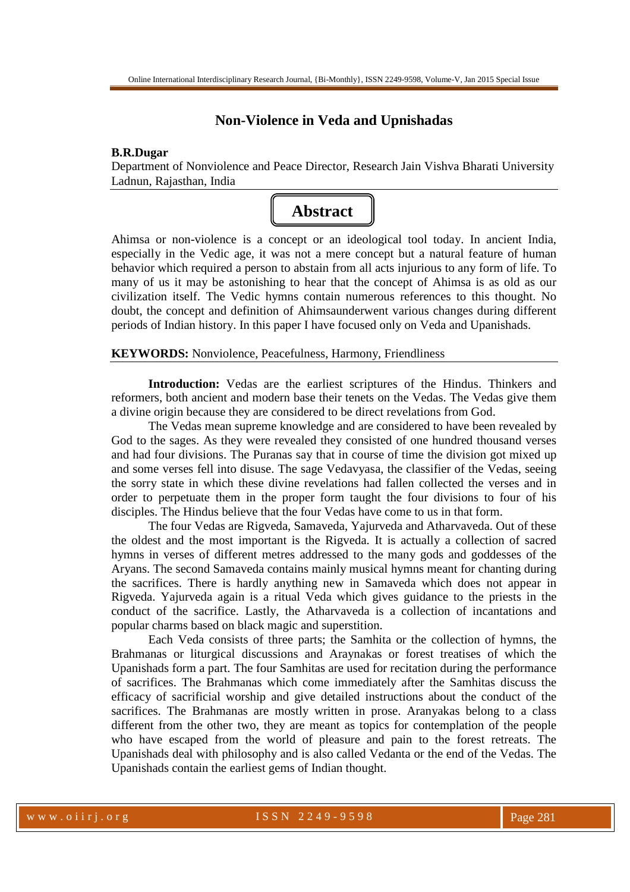# **Non-Violence in Veda and Upnishadas**

### **B.R.Dugar**

Department of Nonviolence and Peace Director, Research Jain Vishva Bharati University Ladnun, Rajasthan, India



Ahimsa or non-violence is a concept or an ideological tool today. In ancient India, especially in the Vedic age, it was not a mere concept but a natural feature of human behavior which required a person to abstain from all acts injurious to any form of life. To many of us it may be astonishing to hear that the concept of Ahimsa is as old as our civilization itself. The Vedic hymns contain numerous references to this thought. No doubt, the concept and definition of Ahimsaunderwent various changes during different periods of Indian history. In this paper I have focused only on Veda and Upanishads.

**KEYWORDS:** Nonviolence, Peacefulness, Harmony, Friendliness

**Introduction:** Vedas are the earliest scriptures of the Hindus. Thinkers and reformers, both ancient and modern base their tenets on the Vedas. The Vedas give them a divine origin because they are considered to be direct revelations from God.

The Vedas mean supreme knowledge and are considered to have been revealed by God to the sages. As they were revealed they consisted of one hundred thousand verses and had four divisions. The Puranas say that in course of time the division got mixed up and some verses fell into disuse. The sage Vedavyasa, the classifier of the Vedas, seeing the sorry state in which these divine revelations had fallen collected the verses and in order to perpetuate them in the proper form taught the four divisions to four of his disciples. The Hindus believe that the four Vedas have come to us in that form.

The four Vedas are Rigveda, Samaveda, Yajurveda and Atharvaveda. Out of these the oldest and the most important is the Rigveda. It is actually a collection of sacred hymns in verses of different metres addressed to the many gods and goddesses of the Aryans. The second Samaveda contains mainly musical hymns meant for chanting during the sacrifices. There is hardly anything new in Samaveda which does not appear in Rigveda. Yajurveda again is a ritual Veda which gives guidance to the priests in the conduct of the sacrifice. Lastly, the Atharvaveda is a collection of incantations and popular charms based on black magic and superstition.

Each Veda consists of three parts; the Samhita or the collection of hymns, the Brahmanas or liturgical discussions and Araynakas or forest treatises of which the Upanishads form a part. The four Samhitas are used for recitation during the performance of sacrifices. The Brahmanas which come immediately after the Samhitas discuss the efficacy of sacrificial worship and give detailed instructions about the conduct of the sacrifices. The Brahmanas are mostly written in prose. Aranyakas belong to a class different from the other two, they are meant as topics for contemplation of the people who have escaped from the world of pleasure and pain to the forest retreats. The Upanishads deal with philosophy and is also called Vedanta or the end of the Vedas. The Upanishads contain the earliest gems of Indian thought.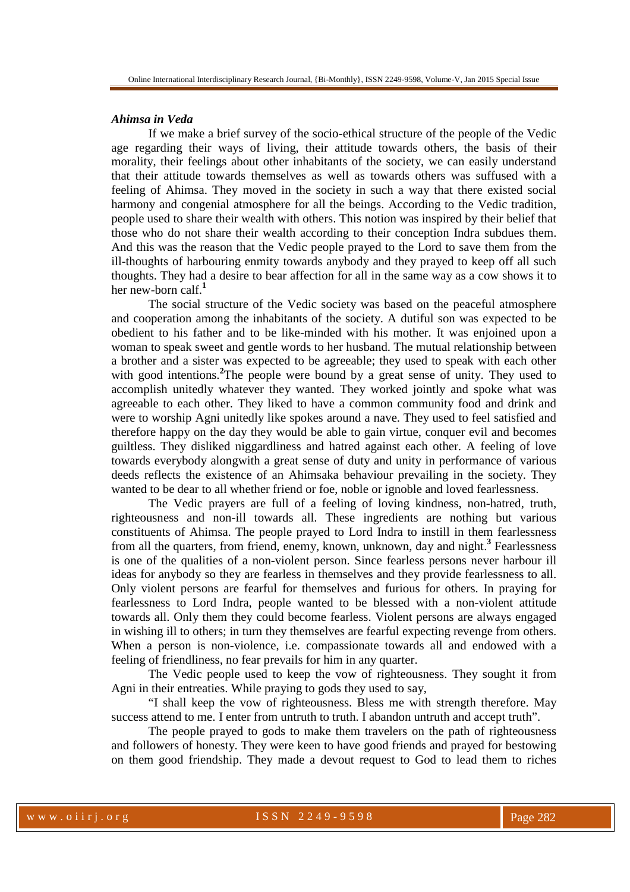#### *Ahimsa in Veda*

If we make a brief survey of the socio-ethical structure of the people of the Vedic age regarding their ways of living, their attitude towards others, the basis of their morality, their feelings about other inhabitants of the society, we can easily understand that their attitude towards themselves as well as towards others was suffused with a feeling of Ahimsa. They moved in the society in such a way that there existed social harmony and congenial atmosphere for all the beings. According to the Vedic tradition, people used to share their wealth with others. This notion was inspired by their belief that those who do not share their wealth according to their conception Indra subdues them. And this was the reason that the Vedic people prayed to the Lord to save them from the ill-thoughts of harbouring enmity towards anybody and they prayed to keep off all such thoughts. They had a desire to bear affection for all in the same way as a cow shows it to her new-born calf.**<sup>1</sup>**

The social structure of the Vedic society was based on the peaceful atmosphere and cooperation among the inhabitants of the society. A dutiful son was expected to be obedient to his father and to be like-minded with his mother. It was enjoined upon a woman to speak sweet and gentle words to her husband. The mutual relationship between a brother and a sister was expected to be agreeable; they used to speak with each other with good intentions.<sup>2</sup>The people were bound by a great sense of unity. They used to accomplish unitedly whatever they wanted. They worked jointly and spoke what was agreeable to each other. They liked to have a common community food and drink and were to worship Agni unitedly like spokes around a nave. They used to feel satisfied and therefore happy on the day they would be able to gain virtue, conquer evil and becomes guiltless. They disliked niggardliness and hatred against each other. A feeling of love towards everybody alongwith a great sense of duty and unity in performance of various deeds reflects the existence of an Ahimsaka behaviour prevailing in the society. They wanted to be dear to all whether friend or foe, noble or ignoble and loved fearlessness.

The Vedic prayers are full of a feeling of loving kindness, non-hatred, truth, righteousness and non-ill towards all. These ingredients are nothing but various constituents of Ahimsa. The people prayed to Lord Indra to instill in them fearlessness from all the quarters, from friend, enemy, known, unknown, day and night.<sup>3</sup> Fearlessness is one of the qualities of a non-violent person. Since fearless persons never harbour ill ideas for anybody so they are fearless in themselves and they provide fearlessness to all. Only violent persons are fearful for themselves and furious for others. In praying for fearlessness to Lord Indra, people wanted to be blessed with a non-violent attitude towards all. Only them they could become fearless. Violent persons are always engaged in wishing ill to others; in turn they themselves are fearful expecting revenge from others. When a person is non-violence, i.e. compassionate towards all and endowed with a feeling of friendliness, no fear prevails for him in any quarter.

The Vedic people used to keep the vow of righteousness. They sought it from Agni in their entreaties. While praying to gods they used to say,

"I shall keep the vow of righteousness. Bless me with strength therefore. May success attend to me. I enter from untruth to truth. I abandon untruth and accept truth".

The people prayed to gods to make them travelers on the path of righteousness and followers of honesty. They were keen to have good friends and prayed for bestowing on them good friendship. They made a devout request to God to lead them to riches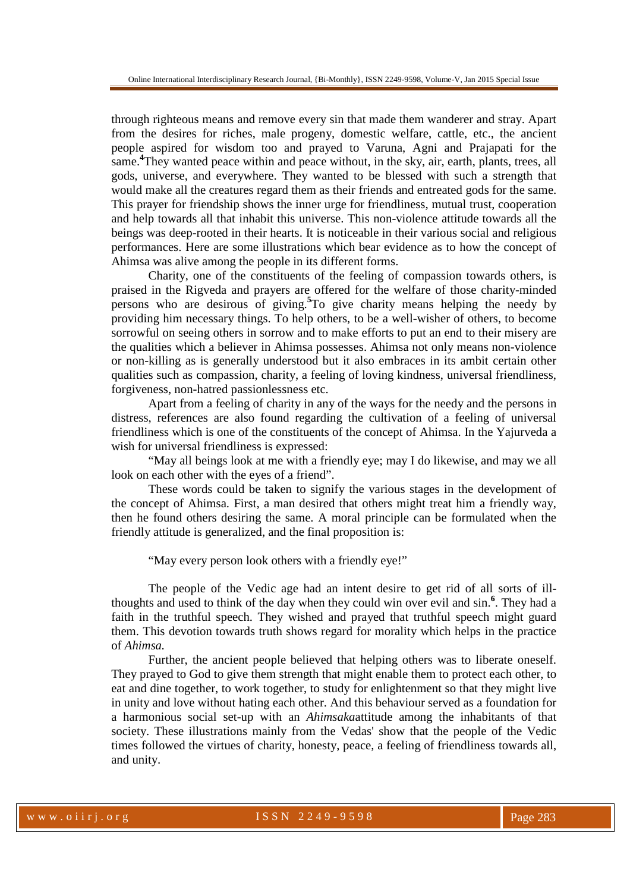through righteous means and remove every sin that made them wanderer and stray. Apart from the desires for riches, male progeny, domestic welfare, cattle, etc., the ancient people aspired for wisdom too and prayed to Varuna, Agni and Prajapati for the same.**<sup>4</sup>**They wanted peace within and peace without, in the sky, air, earth, plants, trees, all gods, universe, and everywhere. They wanted to be blessed with such a strength that would make all the creatures regard them as their friends and entreated gods for the same. This prayer for friendship shows the inner urge for friendliness, mutual trust, cooperation and help towards all that inhabit this universe. This non-violence attitude towards all the beings was deep-rooted in their hearts. It is noticeable in their various social and religious performances. Here are some illustrations which bear evidence as to how the concept of Ahimsa was alive among the people in its different forms.

Charity, one of the constituents of the feeling of compassion towards others, is praised in the Rigveda and prayers are offered for the welfare of those charity-minded persons who are desirous of giving.**<sup>5</sup>** To give charity means helping the needy by providing him necessary things. To help others, to be a well-wisher of others, to become sorrowful on seeing others in sorrow and to make efforts to put an end to their misery are the qualities which a believer in Ahimsa possesses. Ahimsa not only means non-violence or non-killing as is generally understood but it also embraces in its ambit certain other qualities such as compassion, charity, a feeling of loving kindness, universal friendliness, forgiveness, non-hatred passionlessness etc.

Apart from a feeling of charity in any of the ways for the needy and the persons in distress, references are also found regarding the cultivation of a feeling of universal friendliness which is one of the constituents of the concept of Ahimsa. In the Yajurveda a wish for universal friendliness is expressed:

"May all beings look at me with a friendly eye; may I do likewise, and may we all look on each other with the eyes of a friend".

These words could be taken to signify the various stages in the development of the concept of Ahimsa. First, a man desired that others might treat him a friendly way, then he found others desiring the same. A moral principle can be formulated when the friendly attitude is generalized, and the final proposition is:

"May every person look others with a friendly eye!"

The people of the Vedic age had an intent desire to get rid of all sorts of illthoughts and used to think of the day when they could win over evil and sin.**<sup>6</sup>** . They had a faith in the truthful speech. They wished and prayed that truthful speech might guard them. This devotion towards truth shows regard for morality which helps in the practice of *Ahimsa.* 

Further, the ancient people believed that helping others was to liberate oneself. They prayed to God to give them strength that might enable them to protect each other, to eat and dine together, to work together, to study for enlightenment so that they might live in unity and love without hating each other. And this behaviour served as a foundation for a harmonious social set-up with an *Ahimsaka*attitude among the inhabitants of that society. These illustrations mainly from the Vedas' show that the people of the Vedic times followed the virtues of charity, honesty, peace, a feeling of friendliness towards all, and unity.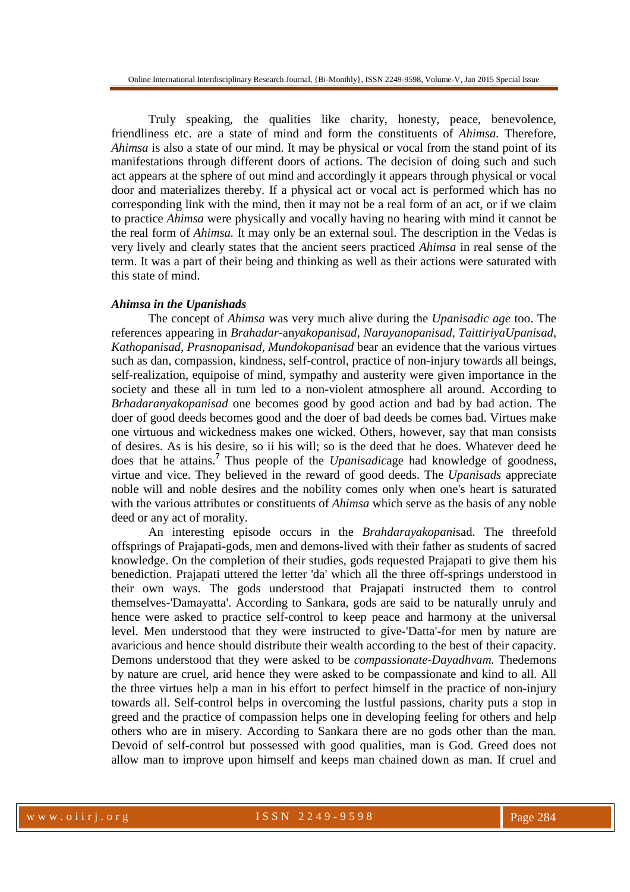Online International Interdisciplinary Research Journal, {Bi-Monthly}, ISSN 2249-9598, Volume-V, Jan 2015 Special Issue

Truly speaking, the qualities like charity, honesty, peace, benevolence, friendliness etc. are a state of mind and form the constituents of *Ahimsa.* Therefore, *Ahimsa* is also a state of our mind. It may be physical or vocal from the stand point of its manifestations through different doors of actions. The decision of doing such and such act appears at the sphere of out mind and accordingly it appears through physical or vocal door and materializes thereby. If a physical act or vocal act is performed which has no corresponding link with the mind, then it may not be a real form of an act, or if we claim to practice *Ahimsa* were physically and vocally having no hearing with mind it cannot be the real form of *Ahimsa.* It may only be an external soul. The description in the Vedas is very lively and clearly states that the ancient seers practiced *Ahimsa* in real sense of the term. It was a part of their being and thinking as well as their actions were saturated with this state of mind.

#### *Ahimsa in the Upanishads*

 The concept of *Ahimsa* was very much alive during the *Upanisadic age* too. The references appearing in *Brahadar*-an*yakopanisad, Narayanopanisad, TaittiriyaUpanisad, Kathopanisad, Prasnopanisad, Mundokopanisad* bear an evidence that the various virtues such as dan, compassion, kindness, self-control, practice of non-injury towards all beings, self-realization, equipoise of mind, sympathy and austerity were given importance in the society and these all in turn led to a non-violent atmosphere all around. According to *Brhadaranyakopanisad* one becomes good by good action and bad by bad action. The doer of good deeds becomes good and the doer of bad deeds be comes bad. Virtues make one virtuous and wickedness makes one wicked. Others, however, say that man consists of desires. As is his desire, so ii his will; so is the deed that he does. Whatever deed he does that he attains.**<sup>7</sup>** Thus people of the *Upanisadic*age had knowledge of goodness, virtue and vice. They believed in the reward of good deeds. The *Upanisads* appreciate noble will and noble desires and the nobility comes only when one's heart is saturated with the various attributes or constituents of *Ahimsa* which serve as the basis of any noble deed or any act of morality.

An interesting episode occurs in the *Brahdarayakopani*sad. The threefold offsprings of Prajapati-gods, men and demons-lived with their father as students of sacred knowledge. On the completion of their studies, gods requested Prajapati to give them his benediction. Prajapati uttered the letter 'da' which all the three off-springs understood in their own ways. The gods understood that Prajapati instructed them to control themselves-'Damayatta'. According to Sankara, gods are said to be naturally unruly and hence were asked to practice self-control to keep peace and harmony at the universal level. Men understood that they were instructed to give-'Datta'-for men by nature are avaricious and hence should distribute their wealth according to the best of their capacity. Demons understood that they were asked to be *compassionate-Dayadhvam.* Thedemons by nature are cruel, arid hence they were asked to be compassionate and kind to all. All the three virtues help a man in his effort to perfect himself in the practice of non-injury towards all. Self-control helps in overcoming the lustful passions, charity puts a stop in greed and the practice of compassion helps one in developing feeling for others and help others who are in misery. According to Sankara there are no gods other than the man. Devoid of self-control but possessed with good qualities, man is God. Greed does not allow man to improve upon himself and keeps man chained down as man. If cruel and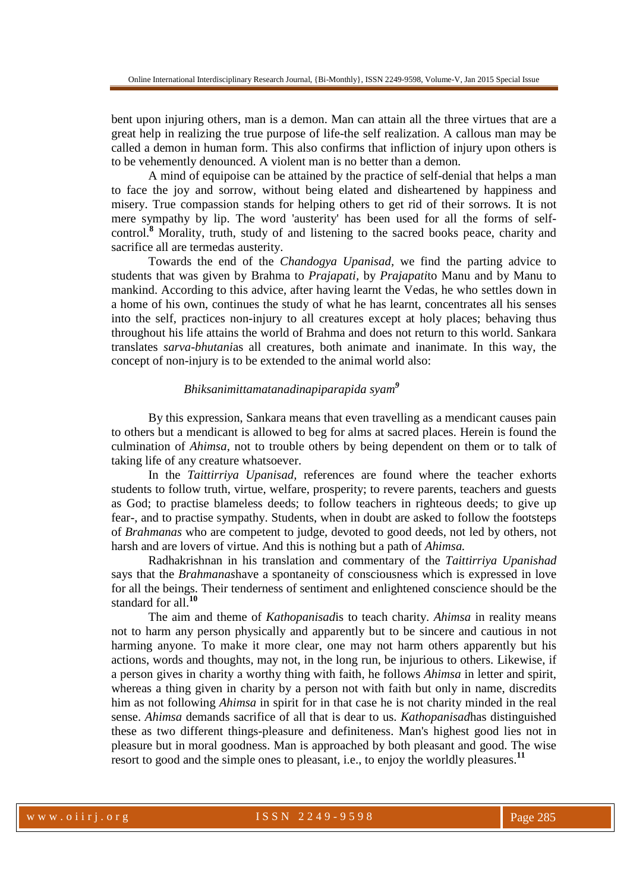bent upon injuring others, man is a demon. Man can attain all the three virtues that are a great help in realizing the true purpose of life-the self realization. A callous man may be called a demon in human form. This also confirms that infliction of injury upon others is to be vehemently denounced. A violent man is no better than a demon.

A mind of equipoise can be attained by the practice of self-denial that helps a man to face the joy and sorrow, without being elated and disheartened by happiness and misery. True compassion stands for helping others to get rid of their sorrows. It is not mere sympathy by lip. The word 'austerity' has been used for all the forms of selfcontrol.<sup>8</sup> Morality, truth, study of and listening to the sacred books peace, charity and sacrifice all are termedas austerity.

Towards the end of the *Chandogya Upanisad,* we find the parting advice to students that was given by Brahma to *Prajapati,* by *Prajapati*to Manu and by Manu to mankind. According to this advice, after having learnt the Vedas, he who settles down in a home of his own, continues the study of what he has learnt, concentrates all his senses into the self, practices non-injury to all creatures except at holy places; behaving thus throughout his life attains the world of Brahma and does not return to this world. Sankara translates *sarva-bhutani*as all creatures, both animate and inanimate. In this way, the concept of non-injury is to be extended to the animal world also:

## *Bhiksanimittamatanadinapiparapida syam<sup>9</sup>*

By this expression, Sankara means that even travelling as a mendicant causes pain to others but a mendicant is allowed to beg for alms at sacred places. Herein is found the culmination of *Ahimsa,* not to trouble others by being dependent on them or to talk of taking life of any creature whatsoever.

In the *Taittirriya Upanisad,* references are found where the teacher exhorts students to follow truth, virtue, welfare, prosperity; to revere parents, teachers and guests as God; to practise blameless deeds; to follow teachers in righteous deeds; to give up fear-, and to practise sympathy. Students, when in doubt are asked to follow the footsteps of *Brahmanas* who are competent to judge, devoted to good deeds, not led by others, not harsh and are lovers of virtue. And this is nothing but a path of *Ahimsa.* 

Radhakrishnan in his translation and commentary of the *Taittirriya Upanishad*  says that the *Brahmanas*have a spontaneity of consciousness which is expressed in love for all the beings. Their tenderness of sentiment and enlightened conscience should be the standard for all.**<sup>10</sup>**

The aim and theme of *Kathopanisad*is to teach charity. *Ahimsa* in reality means not to harm any person physically and apparently but to be sincere and cautious in not harming anyone. To make it more clear, one may not harm others apparently but his actions, words and thoughts, may not, in the long run, be injurious to others. Likewise, if a person gives in charity a worthy thing with faith, he follows *Ahimsa* in letter and spirit, whereas a thing given in charity by a person not with faith but only in name, discredits him as not following *Ahimsa* in spirit for in that case he is not charity minded in the real sense. *Ahimsa* demands sacrifice of all that is dear to us. *Kathopanisad*has distinguished these as two different things-pleasure and definiteness. Man's highest good lies not in pleasure but in moral goodness. Man is approached by both pleasant and good. The wise resort to good and the simple ones to pleasant, i.e., to enjoy the worldly pleasures.**<sup>11</sup>**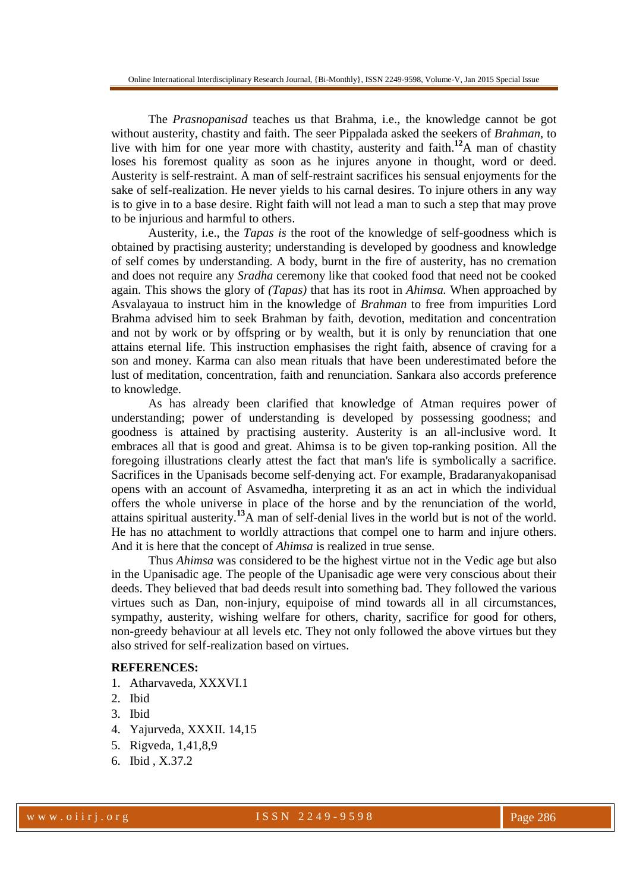The *Prasnopanisad* teaches us that Brahma, i.e., the knowledge cannot be got without austerity, chastity and faith. The seer Pippalada asked the seekers of *Brahman,* to live with him for one year more with chastity, austerity and faith.**<sup>12</sup>**A man of chastity loses his foremost quality as soon as he injures anyone in thought, word or deed. Austerity is self-restraint. A man of self-restraint sacrifices his sensual enjoyments for the sake of self-realization. He never yields to his carnal desires. To injure others in any way is to give in to a base desire. Right faith will not lead a man to such a step that may prove to be injurious and harmful to others.

Austerity, i.e., the *Tapas is* the root of the knowledge of self-goodness which is obtained by practising austerity; understanding is developed by goodness and knowledge of self comes by understanding. A body, burnt in the fire of austerity, has no cremation and does not require any *Sradha* ceremony like that cooked food that need not be cooked again. This shows the glory of *(Tapas)* that has its root in *Ahimsa.* When approached by Asvalayaua to instruct him in the knowledge of *Brahman* to free from impurities Lord Brahma advised him to seek Brahman by faith, devotion, meditation and concentration and not by work or by offspring or by wealth, but it is only by renunciation that one attains eternal life. This instruction emphasises the right faith, absence of craving for a son and money. Karma can also mean rituals that have been underestimated before the lust of meditation, concentration, faith and renunciation. Sankara also accords preference to knowledge.

As has already been clarified that knowledge of Atman requires power of understanding; power of understanding is developed by possessing goodness; and goodness is attained by practising austerity. Austerity is an all-inclusive word. It embraces all that is good and great. Ahimsa is to be given top-ranking position. All the foregoing illustrations clearly attest the fact that man's life is symbolically a sacrifice. Sacrifices in the Upanisads become self-denying act. For example, Bradaranyakopanisad opens with an account of Asvamedha, interpreting it as an act in which the individual offers the whole universe in place of the horse and by the renunciation of the world, attains spiritual austerity.**<sup>13</sup>**A man of self-denial lives in the world but is not of the world. He has no attachment to worldly attractions that compel one to harm and injure others. And it is here that the concept of *Ahimsa* is realized in true sense.

Thus *Ahimsa* was considered to be the highest virtue not in the Vedic age but also in the Upanisadic age. The people of the Upanisadic age were very conscious about their deeds. They believed that bad deeds result into something bad. They followed the various virtues such as Dan, non-injury, equipoise of mind towards all in all circumstances, sympathy, austerity, wishing welfare for others, charity, sacrifice for good for others, non-greedy behaviour at all levels etc. They not only followed the above virtues but they also strived for self-realization based on virtues.

## **REFERENCES:**

- 1. Atharvaveda, XXXVI.1
- 2. Ibid
- 3. Ibid
- 4. Yajurveda, XXXII. 14,15
- 5. Rigveda, 1,41,8,9
- 6. Ibid , X.37.2